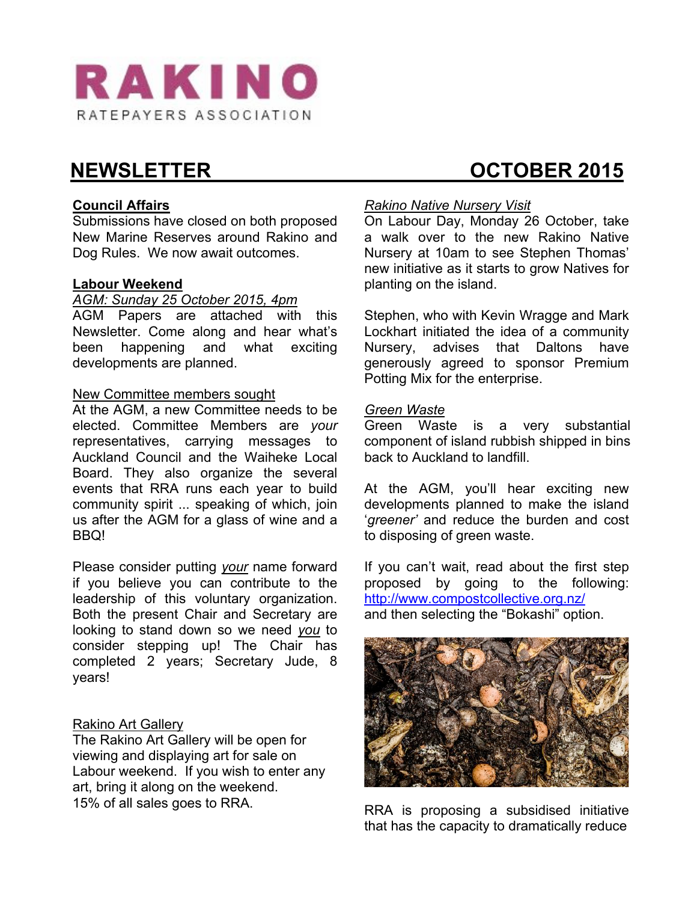

# **Council Affairs**

Submissions have closed on both proposed New Marine Reserves around Rakino and Dog Rules. We now await outcomes.

#### **Labour Weekend**

# *AGM: Sunday 25 October 2015, 4pm*

AGM Papers are attached with this Newsletter. Come along and hear what's been happening and what exciting developments are planned.

#### New Committee members sought

At the AGM, a new Committee needs to be elected. Committee Members are *your* representatives, carrying messages to Auckland Council and the Waiheke Local Board. They also organize the several events that RRA runs each year to build community spirit ... speaking of which, join us after the AGM for a glass of wine and a BBQ!

Please consider putting *your* name forward if you believe you can contribute to the leadership of this voluntary organization. Both the present Chair and Secretary are looking to stand down so we need *you* to consider stepping up! The Chair has completed 2 years; Secretary Jude, 8 years!

#### Rakino Art Gallery

The Rakino Art Gallery will be open for viewing and displaying art for sale on Labour weekend. If you wish to enter any art, bring it along on the weekend. 15% of all sales goes to RRA.

# **NEWSLETTER CONSUMING CONSUMING A REWSLETTER**

#### *Rakino Native Nursery Visit*

On Labour Day, Monday 26 October, take a walk over to the new Rakino Native Nursery at 10am to see Stephen Thomas' new initiative as it starts to grow Natives for planting on the island.

Stephen, who with Kevin Wragge and Mark Lockhart initiated the idea of a community Nursery, advises that Daltons have generously agreed to sponsor Premium Potting Mix for the enterprise.

#### *Green Waste*

Green Waste is a very substantial component of island rubbish shipped in bins back to Auckland to landfill.

At the AGM, you'll hear exciting new developments planned to make the island '*greener'* and reduce the burden and cost to disposing of green waste.

If you can't wait, read about the first step proposed by going to the following: http://www.compostcollective.org.nz/ and then selecting the "Bokashi" option.



RRA is proposing a subsidised initiative that has the capacity to dramatically reduce